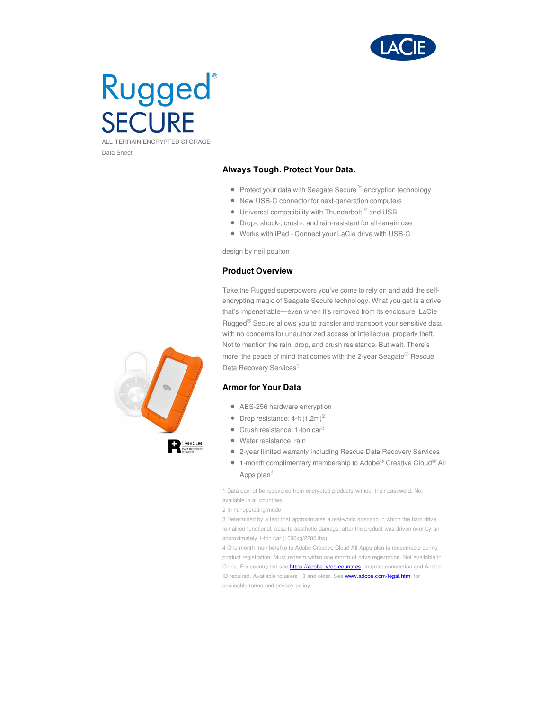

# Rugged® **SECURE** ALL-TERRAIN ENCRYPTED STORAGE

Data Sheet

## **Always Tough. Protect Your Data.**

- Protect your data with Seagate Secure™ encryption technology
- New USB-C connector for next-generation computers
- Universal compatibility with Thunderbolt<sup>™</sup> and USB
- Drop-, shock-, crush-, and rain-resistant for all-terrain use
- Works with iPad Connect your LaCie drive with USB-C

design by neil poulton

#### **Product Overview**

Take the Rugged superpowers you've come to rely on and add the selfencrypting magic of Seagate Secure technology. What you get is a drive that's impenetrable—even when it's removed from its enclosure. LaCie Rugged® Secure allows you to transfer and transport your sensitive data with no concerns for unauthorized access or intellectual property theft. Not to mention the rain, drop, and crush resistance. But wait. There's more: the peace of mind that comes with the 2-year Seagate<sup>®</sup> Rescue Data Recovery Services<sup>1</sup>

### **Armor for Your Data**

- AES-256 hardware encryption
- Drop resistance:  $4\text{-ft}$   $(1.2\text{m})^2$
- $\bullet$  Crush resistance: 1-ton car<sup>3</sup>
- Water resistance: rain
- 2-year limited warranty including Rescue Data Recovery Services
- $\bullet$  1-month complimentary membership to Adobe<sup>®</sup> Creative Cloud<sup>®</sup> All Apps plan $^4\,$

1 Data cannot be recovered from encrypted products without their password. Not available in all countries

2 In nonoperating mode

3 Determined by a test that approximates a real-world scenario in which the hard drive remained functional, despite aesthetic damage, after the product was driven over by an approximately 1-ton car (1000kg/2205 lbs).

4 One-month membership to Adobe Creative Cloud All Apps plan is redeemable during product registration. Must redeem within one month of drive registration. Not available in China. For country list see **<https://adobe.ly/cc-countries>**. Internet connection and Adobe ID required. Available to users 13 and older. See **<www.adobe.com/legal.html>** for applicable terms and privacy policy.